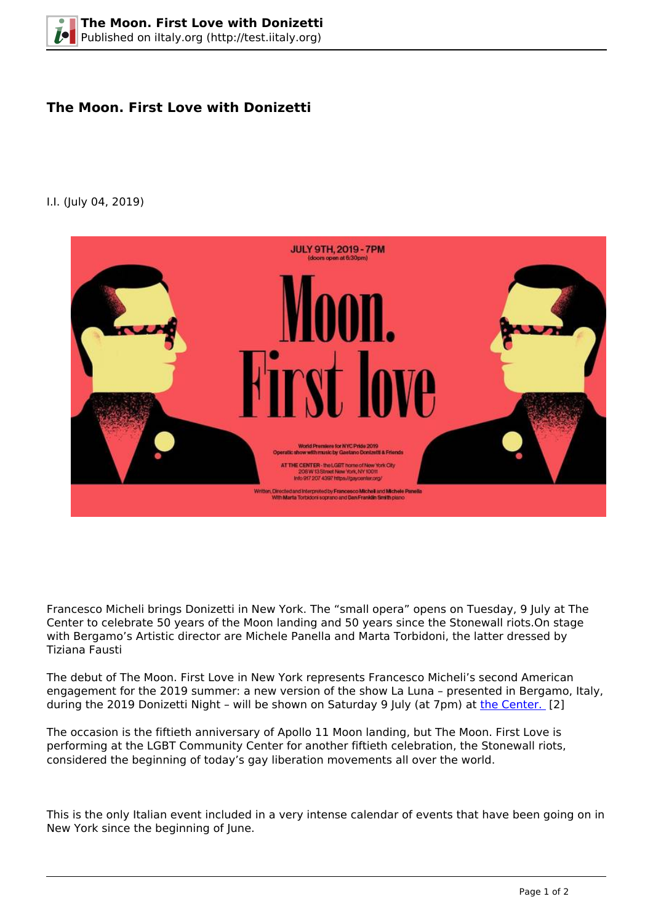## **The Moon. First Love with Donizetti**

## I.I. (July 04, 2019)



Francesco Micheli brings Donizetti in New York. The "small opera" opens on Tuesday, 9 July at The Center to celebrate 50 years of the Moon landing and 50 years since the Stonewall riots.On stage with Bergamo's Artistic director are Michele Panella and Marta Torbidoni, the latter dressed by Tiziana Fausti

The debut of The Moon. First Love in New York represents Francesco Micheli's second American engagement for the 2019 summer: a new version of the show La Luna – presented in Bergamo, Italy, during the 2019 Donizetti Night – will be shown on Saturday 9 July (at 7pm) at [the Center.](https://gaycenter.org/twomoons/) [2]

The occasion is the fiftieth anniversary of Apollo 11 Moon landing, but The Moon. First Love is performing at the LGBT Community Center for another fiftieth celebration, the Stonewall riots, considered the beginning of today's gay liberation movements all over the world.

This is the only Italian event included in a very intense calendar of events that have been going on in New York since the beginning of June.